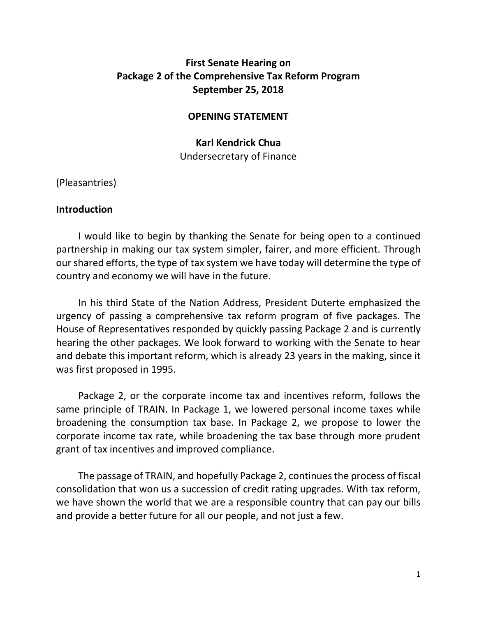# **First Senate Hearing on Package 2 of the Comprehensive Tax Reform Program September 25, 2018**

#### **OPENING STATEMENT**

## **Karl Kendrick Chua** Undersecretary of Finance

(Pleasantries)

#### **Introduction**

I would like to begin by thanking the Senate for being open to a continued partnership in making our tax system simpler, fairer, and more efficient. Through our shared efforts, the type of tax system we have today will determine the type of country and economy we will have in the future.

In his third State of the Nation Address, President Duterte emphasized the urgency of passing a comprehensive tax reform program of five packages. The House of Representatives responded by quickly passing Package 2 and is currently hearing the other packages. We look forward to working with the Senate to hear and debate this important reform, which is already 23 years in the making, since it was first proposed in 1995.

Package 2, or the corporate income tax and incentives reform, follows the same principle of TRAIN. In Package 1, we lowered personal income taxes while broadening the consumption tax base. In Package 2, we propose to lower the corporate income tax rate, while broadening the tax base through more prudent grant of tax incentives and improved compliance.

The passage of TRAIN, and hopefully Package 2, continues the process of fiscal consolidation that won us a succession of credit rating upgrades. With tax reform, we have shown the world that we are a responsible country that can pay our bills and provide a better future for all our people, and not just a few.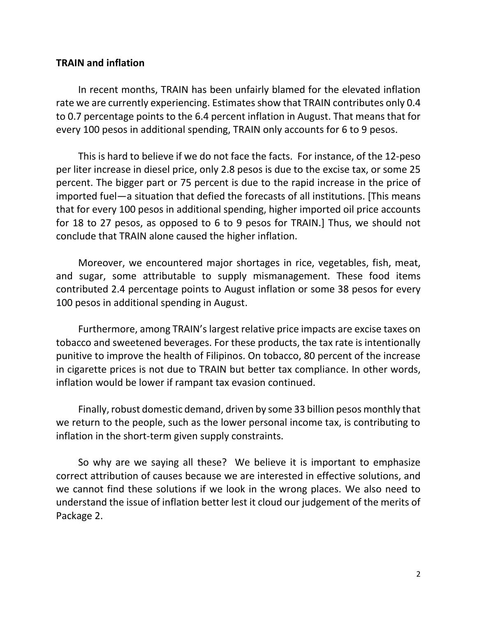#### **TRAIN and inflation**

In recent months, TRAIN has been unfairly blamed for the elevated inflation rate we are currently experiencing. Estimates show that TRAIN contributes only 0.4 to 0.7 percentage points to the 6.4 percent inflation in August. That means that for every 100 pesos in additional spending, TRAIN only accounts for 6 to 9 pesos.

This is hard to believe if we do not face the facts. For instance, of the 12-peso per liter increase in diesel price, only 2.8 pesos is due to the excise tax, or some 25 percent. The bigger part or 75 percent is due to the rapid increase in the price of imported fuel—a situation that defied the forecasts of all institutions. [This means that for every 100 pesos in additional spending, higher imported oil price accounts for 18 to 27 pesos, as opposed to 6 to 9 pesos for TRAIN.] Thus, we should not conclude that TRAIN alone caused the higher inflation.

Moreover, we encountered major shortages in rice, vegetables, fish, meat, and sugar, some attributable to supply mismanagement. These food items contributed 2.4 percentage points to August inflation or some 38 pesos for every 100 pesos in additional spending in August.

Furthermore, among TRAIN's largest relative price impacts are excise taxes on tobacco and sweetened beverages. For these products, the tax rate is intentionally punitive to improve the health of Filipinos. On tobacco, 80 percent of the increase in cigarette prices is not due to TRAIN but better tax compliance. In other words, inflation would be lower if rampant tax evasion continued.

Finally, robust domestic demand, driven by some 33 billion pesos monthly that we return to the people, such as the lower personal income tax, is contributing to inflation in the short-term given supply constraints.

So why are we saying all these? We believe it is important to emphasize correct attribution of causes because we are interested in effective solutions, and we cannot find these solutions if we look in the wrong places. We also need to understand the issue of inflation better lest it cloud our judgement of the merits of Package 2.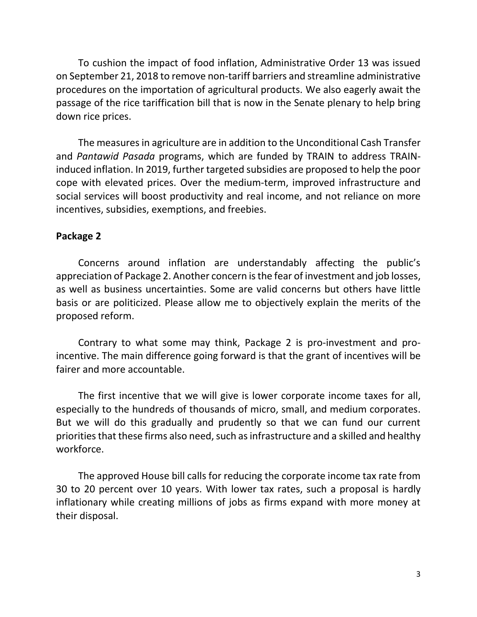To cushion the impact of food inflation, Administrative Order 13 was issued on September 21, 2018 to remove non-tariff barriers and streamline administrative procedures on the importation of agricultural products. We also eagerly await the passage of the rice tariffication bill that is now in the Senate plenary to help bring down rice prices.

The measures in agriculture are in addition to the Unconditional Cash Transfer and *Pantawid Pasada* programs, which are funded by TRAIN to address TRAINinduced inflation. In 2019, further targeted subsidies are proposed to help the poor cope with elevated prices. Over the medium-term, improved infrastructure and social services will boost productivity and real income, and not reliance on more incentives, subsidies, exemptions, and freebies.

#### **Package 2**

Concerns around inflation are understandably affecting the public's appreciation of Package 2. Another concern is the fear of investment and job losses, as well as business uncertainties. Some are valid concerns but others have little basis or are politicized. Please allow me to objectively explain the merits of the proposed reform.

Contrary to what some may think, Package 2 is pro-investment and proincentive. The main difference going forward is that the grant of incentives will be fairer and more accountable.

The first incentive that we will give is lower corporate income taxes for all, especially to the hundreds of thousands of micro, small, and medium corporates. But we will do this gradually and prudently so that we can fund our current priorities that these firms also need, such as infrastructure and a skilled and healthy workforce.

The approved House bill calls for reducing the corporate income tax rate from 30 to 20 percent over 10 years. With lower tax rates, such a proposal is hardly inflationary while creating millions of jobs as firms expand with more money at their disposal.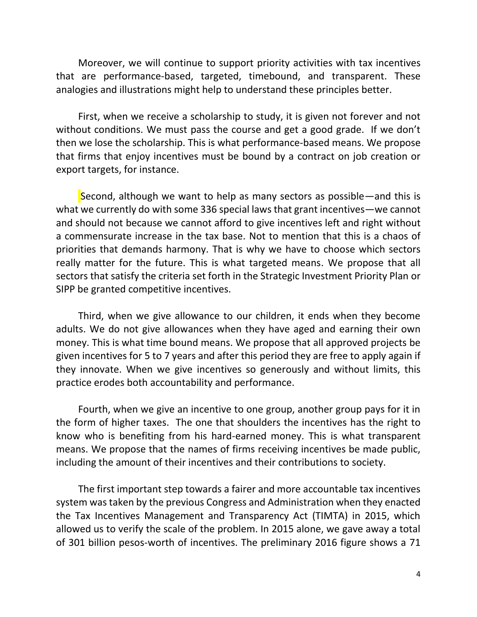Moreover, we will continue to support priority activities with tax incentives that are performance-based, targeted, timebound, and transparent. These analogies and illustrations might help to understand these principles better.

First, when we receive a scholarship to study, it is given not forever and not without conditions. We must pass the course and get a good grade. If we don't then we lose the scholarship. This is what performance-based means. We propose that firms that enjoy incentives must be bound by a contract on job creation or export targets, for instance.

Second, although we want to help as many sectors as possible—and this is what we currently do with some 336 special laws that grant incentives—we cannot and should not because we cannot afford to give incentives left and right without a commensurate increase in the tax base. Not to mention that this is a chaos of priorities that demands harmony. That is why we have to choose which sectors really matter for the future. This is what targeted means. We propose that all sectors that satisfy the criteria set forth in the Strategic Investment Priority Plan or SIPP be granted competitive incentives.

Third, when we give allowance to our children, it ends when they become adults. We do not give allowances when they have aged and earning their own money. This is what time bound means. We propose that all approved projects be given incentives for 5 to 7 years and after this period they are free to apply again if they innovate. When we give incentives so generously and without limits, this practice erodes both accountability and performance.

Fourth, when we give an incentive to one group, another group pays for it in the form of higher taxes. The one that shoulders the incentives has the right to know who is benefiting from his hard-earned money. This is what transparent means. We propose that the names of firms receiving incentives be made public, including the amount of their incentives and their contributions to society.

The first important step towards a fairer and more accountable tax incentives system was taken by the previous Congress and Administration when they enacted the Tax Incentives Management and Transparency Act (TIMTA) in 2015, which allowed us to verify the scale of the problem. In 2015 alone, we gave away a total of 301 billion pesos-worth of incentives. The preliminary 2016 figure shows a 71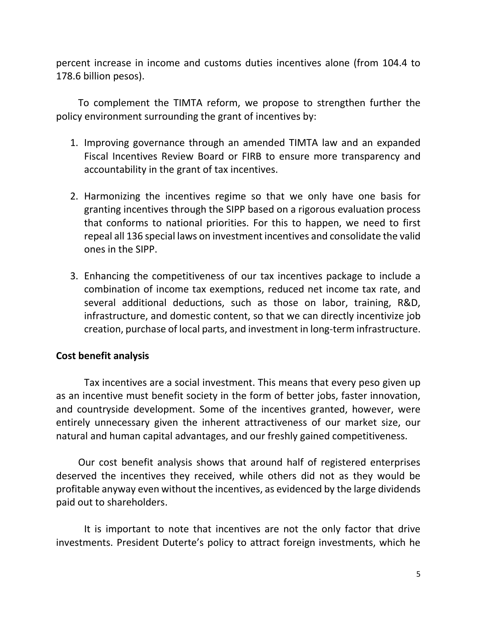percent increase in income and customs duties incentives alone (from 104.4 to 178.6 billion pesos).

To complement the TIMTA reform, we propose to strengthen further the policy environment surrounding the grant of incentives by:

- 1. Improving governance through an amended TIMTA law and an expanded Fiscal Incentives Review Board or FIRB to ensure more transparency and accountability in the grant of tax incentives.
- 2. Harmonizing the incentives regime so that we only have one basis for granting incentives through the SIPP based on a rigorous evaluation process that conforms to national priorities. For this to happen, we need to first repeal all 136 special laws on investment incentives and consolidate the valid ones in the SIPP.
- 3. Enhancing the competitiveness of our tax incentives package to include a combination of income tax exemptions, reduced net income tax rate, and several additional deductions, such as those on labor, training, R&D, infrastructure, and domestic content, so that we can directly incentivize job creation, purchase of local parts, and investment in long-term infrastructure.

# **Cost benefit analysis**

Tax incentives are a social investment. This means that every peso given up as an incentive must benefit society in the form of better jobs, faster innovation, and countryside development. Some of the incentives granted, however, were entirely unnecessary given the inherent attractiveness of our market size, our natural and human capital advantages, and our freshly gained competitiveness.

Our cost benefit analysis shows that around half of registered enterprises deserved the incentives they received, while others did not as they would be profitable anyway even without the incentives, as evidenced by the large dividends paid out to shareholders.

It is important to note that incentives are not the only factor that drive investments. President Duterte's policy to attract foreign investments, which he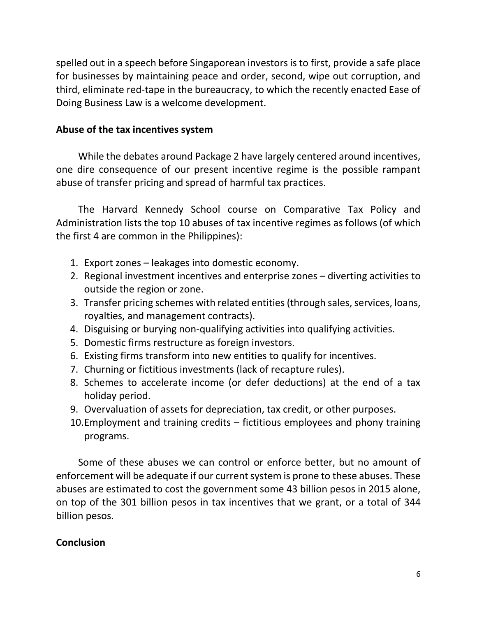spelled out in a speech before Singaporean investors is to first, provide a safe place for businesses by maintaining peace and order, second, wipe out corruption, and third, eliminate red-tape in the bureaucracy, to which the recently enacted Ease of Doing Business Law is a welcome development.

## **Abuse of the tax incentives system**

While the debates around Package 2 have largely centered around incentives, one dire consequence of our present incentive regime is the possible rampant abuse of transfer pricing and spread of harmful tax practices.

The Harvard Kennedy School course on Comparative Tax Policy and Administration lists the top 10 abuses of tax incentive regimes as follows (of which the first 4 are common in the Philippines):

- 1. Export zones leakages into domestic economy.
- 2. Regional investment incentives and enterprise zones diverting activities to outside the region or zone.
- 3. Transfer pricing schemes with related entities (through sales, services, loans, royalties, and management contracts).
- 4. Disguising or burying non-qualifying activities into qualifying activities.
- 5. Domestic firms restructure as foreign investors.
- 6. Existing firms transform into new entities to qualify for incentives.
- 7. Churning or fictitious investments (lack of recapture rules).
- 8. Schemes to accelerate income (or defer deductions) at the end of a tax holiday period.
- 9. Overvaluation of assets for depreciation, tax credit, or other purposes.
- 10.Employment and training credits fictitious employees and phony training programs.

Some of these abuses we can control or enforce better, but no amount of enforcement will be adequate if our current system is prone to these abuses. These abuses are estimated to cost the government some 43 billion pesos in 2015 alone, on top of the 301 billion pesos in tax incentives that we grant, or a total of 344 billion pesos.

#### **Conclusion**